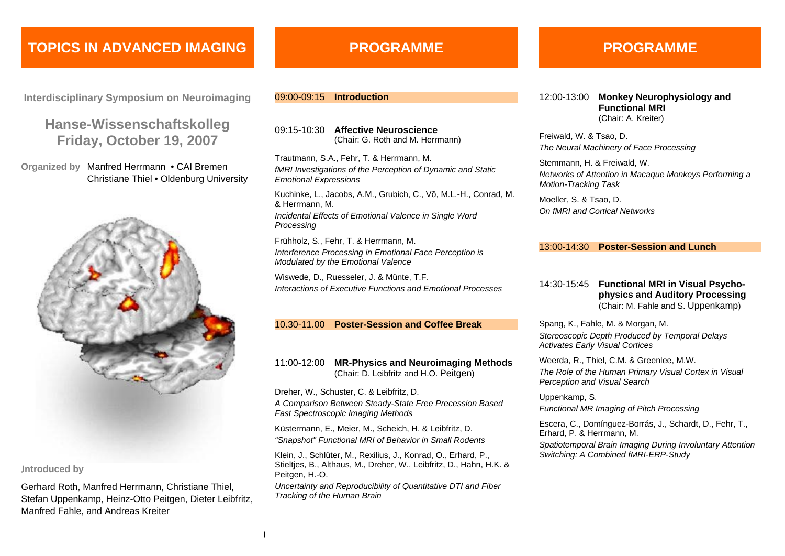## **TOPICS IN ADVANCED IMAGING**

**Interdisciplinary Symposium on Neuroimaging**

## **Hanse-Wissenschaftskolleg Friday, October 19, 2007**

**Organized by** Manfred Herrmann • CAI Bremen Christiane Thiel • Oldenburg University



#### **Introduced by**

Gerhard Roth, Manfred Herrmann, Christiane Thiel, Stefan Uppenkamp, Heinz-Otto Peitgen, Dieter Leibfritz, Manfred Fahle, and Andreas Kreiter

## **PROGRAMME**

### 09:00-09:15 **Introduction**

09:15-10:30 **Affective Neuroscience** (Chair: G. Roth and M. Herrmann)

Trautmann, S.A., Fehr, T. & Herrmann, M. *fMRI Investigations of the Perception of Dynamic and Static Emotional Expressions*

Kuchinke, L., Jacobs, A.M., Grubich, C., Võ, M.L.-H., Conrad, M. & Herrmann, M. *Incidental Effects of Emotional Valence in Single Word Processing*

Frühholz, S., Fehr, T. & Herrmann, M. *Interference Processing in Emotional Face Perception is Modulated by the Emotional Valence*

Wiswede, D., Ruesseler, J. & Münte, T.F. *Interactions of Executive Functions and Emotional Processes* 

### 10.30-11.00 **Poster-Session and Coffee Break**

### 11:00-12:00 **MR-Physics and Neuroimaging Methods** (Chair: D. Leibfritz and H.O. Peitgen)

Dreher, W., Schuster, C. & Leibfritz, D. *A Comparison Between Steady-State Free Precession Based Fast Spectroscopic Imaging Methods*

Küstermann, E., Meier, M., Scheich, H. & Leibfritz, D. *"Snapshot" Functional MRI of Behavior in Small Rodents* 

Klein, J., Schlüter, M., Rexilius, J., Konrad, O., Erhard, P., Stieltjes, B., Althaus, M., Dreher, W., Leibfritz, D., Hahn, H.K. & Peitgen, H.-O.

*Uncertainty and Reproducibility of Quantitative DTI and Fiber Tracking of the Human Brain* 

## **PROGRAMME**

12:00-13:00 **Monkey Neurophysiology and Functional MRI** (Chair: A. Kreiter)

Freiwald, W. & Tsao, D. *The Neural Machinery of Face Processing*

Stemmann, H. & Freiwald, W. *Networks of Attention in Macaque Monkeys Performing a Motion-Tracking Task*

Moeller, S. & Tsao, D. *On fMRI and Cortical Networks*

#### 13:00-14:30 **Poster-Session and Lunch**

### 14:30-15:45 **Functional MRI in Visual Psychophysics and Auditory Processing**  (Chair: M. Fahle and S. Uppenkamp)

Spang, K., Fahle, M. & Morgan, M. *Stereoscopic Depth Produced by Temporal Delays Activates Early Visual Cortices*

Weerda, R., Thiel, C.M. & Greenlee, M.W. *The Role of the Human Primary Visual Cortex in Visual Perception and Visual Search*

Uppenkamp, S. *Functional MR Imaging of Pitch Processing*

Escera, C., Domínguez-Borrás, J., Schardt, D., Fehr, T., Erhard, P. & Herrmann, M.

*Spatiotemporal Brain Imaging During Involuntary Attention Switching: A Combined fMRI-ERP-Study*